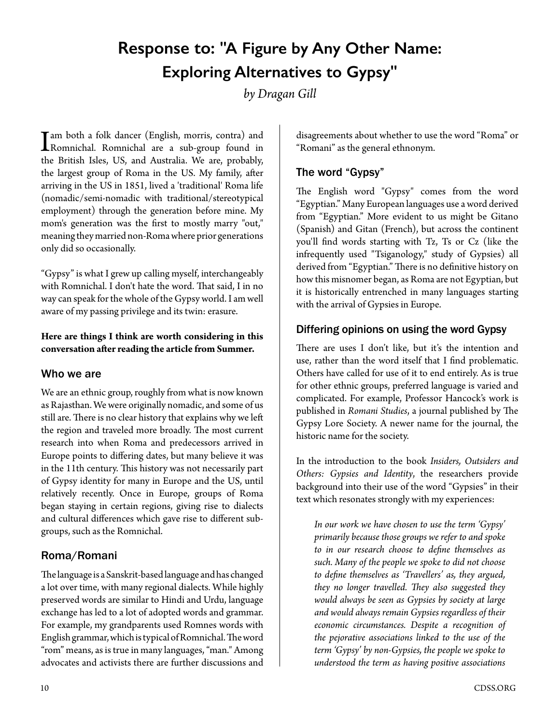# **Response to: "A Figure by Any Other Name: Exploring Alternatives to Gypsy"**

*by Dragan Gill*

I am both a folk dancer (English, morris, contra) and<br>Romnichal. Romnichal are a sub-group found in<br>the British Isles. US, and Australia. We are probably the British Isles, US, and Australia. We are, probably, the largest group of Roma in the US. My family, after arriving in the US in 1851, lived a 'traditional' Roma life (nomadic/semi-nomadic with traditional/stereotypical employment) through the generation before mine. My mom's generation was the first to mostly marry "out," meaning they married non-Roma where prior generations only did so occasionally.

"Gypsy" is what I grew up calling myself, interchangeably with Romnichal. I don't hate the word. That said, I in no way can speak for the whole of the Gypsy world. I am well aware of my passing privilege and its twin: erasure.

#### **Here are things I think are worth considering in this conversation after reading the article from Summer.**

#### Who we are

We are an ethnic group, roughly from what is now known as Rajasthan. We were originally nomadic, and some of us still are. There is no clear history that explains why we left the region and traveled more broadly. The most current research into when Roma and predecessors arrived in Europe points to differing dates, but many believe it was in the 11th century. This history was not necessarily part of Gypsy identity for many in Europe and the US, until relatively recently. Once in Europe, groups of Roma began staying in certain regions, giving rise to dialects and cultural differences which gave rise to different subgroups, such as the Romnichal.

#### Roma/Romani

The language is a Sanskrit-based language and has changed a lot over time, with many regional dialects. While highly preserved words are similar to Hindi and Urdu, language exchange has led to a lot of adopted words and grammar. For example, my grandparents used Romnes words with English grammar, which is typical of Romnichal. The word "rom" means, as is true in many languages, "man." Among advocates and activists there are further discussions and

disagreements about whether to use the word "Roma" or "Romani" as the general ethnonym.

## The word "Gypsy"

The English word "Gypsy" comes from the word "Egyptian." Many European languages use a word derived from "Egyptian." More evident to us might be Gitano (Spanish) and Gitan (French), but across the continent you'll find words starting with Tz, Ts or Cz (like the infrequently used "Tsiganology," study of Gypsies) all derived from "Egyptian." There is no definitive history on how this misnomer began, as Roma are not Egyptian, but it is historically entrenched in many languages starting with the arrival of Gypsies in Europe.

#### Differing opinions on using the word Gypsy

There are uses I don't like, but it's the intention and use, rather than the word itself that I find problematic. Others have called for use of it to end entirely. As is true for other ethnic groups, preferred language is varied and complicated. For example, Professor Hancock's work is published in *Romani Studies*, a journal published by The Gypsy Lore Society. A newer name for the journal, the historic name for the society.

In the introduction to the book *Insiders, Outsiders and Others: Gypsies and Identity*, the researchers provide background into their use of the word "Gypsies" in their text which resonates strongly with my experiences:

*In our work we have chosen to use the term 'Gypsy' primarily because those groups we refer to and spoke to in our research choose to define themselves as such. Many of the people we spoke to did not choose to define themselves as 'Travellers' as, they argued, they no longer travelled. They also suggested they would always be seen as Gypsies by society at large and would always remain Gypsies regardless of their economic circumstances. Despite a recognition of the pejorative associations linked to the use of the term 'Gypsy' by non-Gypsies, the people we spoke to understood the term as having positive associations*